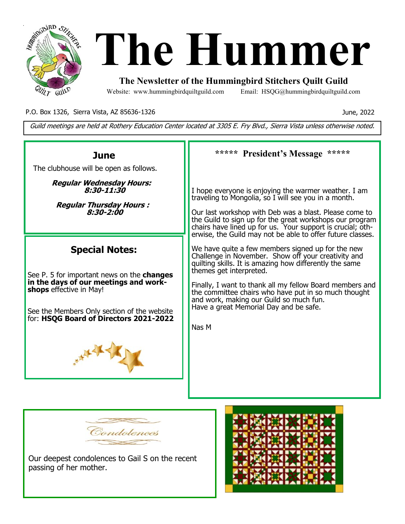

# **January The Hummer**

# **The Newsletter of the Hummingbird Stitchers Quilt Guild**

Website: www.hummingbirdquiltguild.com Email: HSQG@hummingbirdquiltguild.com

P.O. Box 1326, Sierra Vista, AZ 85636-1326

June, 2022

Guild meetings are held at Rothery Education Center located at 3305 E. Fry Blvd., Sierra Vista unless otherwise noted.





Our deepest condolences to Gail S on the recent passing of her mother.

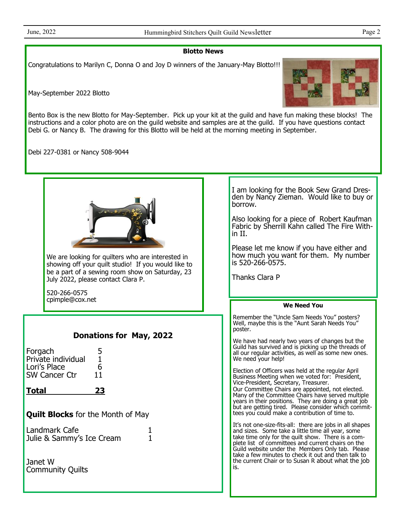## **Blotto News**

Congratulations to Marilyn C, Donna O and Joy D winners of the January-May Blotto!!!

May-September 2022 Blotto



Bento Box is the new Blotto for May-September. Pick up your kit at the guild and have fun making these blocks! The instructions and a color photo are on the guild website and samples are at the guild. If you have questions contact Debi G. or Nancy B. The drawing for this Blotto will be held at the morning meeting in September.

Debi 227-0381 or Nancy 508-9044

| We are looking for quilters who are interested in<br>showing off your quilt studio! If you would like to<br>be a part of a sewing room show on Saturday, 23<br>July 2022, please contact Clara P.<br>520-266-0575<br>cpimple@cox.net                                                                               | I am looking for the Book Sew Grand Dres-<br>den by Nancy Zieman. Would like to buy or<br>borrow.<br>Also looking for a piece of Robert Kaufman<br>Fabric by Sherrill Kahn called The Fire With-<br>in II.<br>Please let me know if you have either and<br>how much you want for them. My number<br>is 520-266-0575.<br><b>Thanks Clara P</b>                                                                                                                                                                                                                                                                                                                                                                                                                                                                                                                                                                                                                                                                                                                                                                                      |
|--------------------------------------------------------------------------------------------------------------------------------------------------------------------------------------------------------------------------------------------------------------------------------------------------------------------|------------------------------------------------------------------------------------------------------------------------------------------------------------------------------------------------------------------------------------------------------------------------------------------------------------------------------------------------------------------------------------------------------------------------------------------------------------------------------------------------------------------------------------------------------------------------------------------------------------------------------------------------------------------------------------------------------------------------------------------------------------------------------------------------------------------------------------------------------------------------------------------------------------------------------------------------------------------------------------------------------------------------------------------------------------------------------------------------------------------------------------|
|                                                                                                                                                                                                                                                                                                                    | <b>We Need You</b>                                                                                                                                                                                                                                                                                                                                                                                                                                                                                                                                                                                                                                                                                                                                                                                                                                                                                                                                                                                                                                                                                                                 |
| <b>Donations for May, 2022</b><br>Forgach<br>5<br>$\mathbf{1}$<br>Private individual<br>6<br>Lori's Place<br><b>SW Cancer Ctr</b><br>11<br>23<br><u>Total</u><br><b>Quilt Blocks</b> for the Month of May<br>Landmark Cafe<br>1<br>$\mathbf{1}$<br>Julie & Sammy's Ice Cream<br>Janet W<br><b>Community Quilts</b> | Remember the "Uncle Sam Needs You" posters?<br>Well, maybe this is the "Aunt Sarah Needs You"<br>poster.<br>We have had nearly two years of changes but the<br>Guild has survived and is picking up the threads of<br>all our regular activities, as well as some new ones.<br>We need your help!<br>Election of Officers was held at the regular April<br>Business Meeting when we voted for: President,<br>Vice-President, Secretary, Treasurer.<br>Our Committee Chairs are appointed, not elected.<br>Many of the Committee Chairs have served multiple<br>years in their positions. They are doing a great job<br>but are getting tired. Please consider which commit-<br>tees you could make a contribution of time to.<br>It's not one-size-fits-all: there are jobs in all shapes<br>and sizes. Some take a little time all year, some<br>take time only for the quilt show. There is a com-<br>plete list of committees and current chairs on the<br>Guild website under the Members Only tab. Please<br>take a few minutes to check it out and then talk to<br>the current Chair or to Susan R about what the job<br>is. |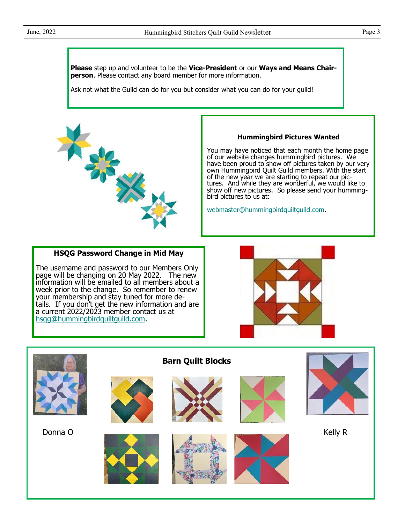**Please** step up and volunteer to be the Vice-President or our Ways and Means Chair**person**. Please contact any board member for more information.

Ask not what the Guild can do for you but consider what you can do for your guild!



#### **Hummingbird Pictures Wanted**

You may have noticed that each month the home page of our website changes hummingbird pictures. We have been proud to show off pictures taken by our very own Hummingbird Quilt Guild members. With the start of the new year we are starting to repeat our pictures. And while they are wonderful, we would like to show off new pictures. So please send your hummingbird pictures to us at:

[webmaster@hummingbirdquiltguild.com.](mailto:webmaster@hummingbirdquiltguild.com)

## **HSQG Password Change in Mid May**

The username and password to our Members Only page will be changing on 20 May 2022. The new information will be emailed to all members about a week prior to the change. So remember to renew your membership and stay tuned for more details. If you don't get the new information and are a current 2022/2023 member contact us at [hsqg@hummingbirdquiltguild.com.](mailto:hsqg@hummingbirdquiltguild.com)



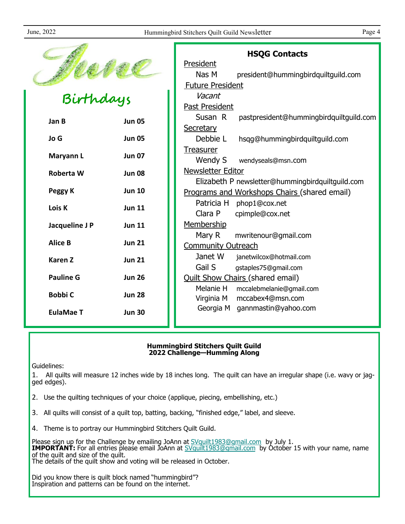|                  |               | <b>HSQG Contacts</b>                               |  |
|------------------|---------------|----------------------------------------------------|--|
|                  |               | President                                          |  |
|                  |               | Nas M<br>president@hummingbirdquiltguild.com       |  |
|                  |               | <b>Future President</b>                            |  |
| -<br>Birthdays   |               | Vacant                                             |  |
|                  |               | Past President                                     |  |
| Jan B            | <b>Jun 05</b> | Susan R<br>pastpresident@hummingbirdquiltguild.com |  |
|                  |               | Secretary                                          |  |
| Jo G             | <b>Jun 05</b> | Debbie L<br>hsqg@hummingbirdquiltguild.com         |  |
|                  |               | <b>Treasurer</b>                                   |  |
| Maryann L        | <b>Jun 07</b> | Wendy S<br>wendyseals@msn.com                      |  |
| Roberta W        | <b>Jun 08</b> | Newsletter Editor                                  |  |
|                  |               | Elizabeth P newsletter@hummingbirdquiltguild.com   |  |
| Peggy K          | <b>Jun 10</b> | Programs and Workshops Chairs (shared email)       |  |
| Lois K           | <b>Jun 11</b> | Patricia H phop1@cox.net                           |  |
|                  |               | Clara P<br>cpimple@cox.net                         |  |
| Jacqueline J P   | <b>Jun 11</b> | Membership                                         |  |
|                  |               | Mary R<br>mwritenour@gmail.com                     |  |
| <b>Alice B</b>   | <b>Jun 21</b> | <b>Community Outreach</b>                          |  |
| <b>Karen Z</b>   | <b>Jun 21</b> | Janet W<br>janetwilcox@hotmail.com                 |  |
|                  |               | Gail S<br>gstaples75@gmail.com                     |  |
| <b>Pauline G</b> | <b>Jun 26</b> | <b>Quilt Show Chairs (shared email)</b>            |  |
| <b>Bobbi C</b>   |               | Melanie H<br>mccalebmelanie@gmail.com              |  |
|                  | <b>Jun 28</b> | mccabex4@msn.com<br>Virginia M                     |  |
| <b>EulaMae T</b> | <b>Jun 30</b> | Georgia M<br>gannmastin@yahoo.com                  |  |
|                  |               |                                                    |  |

### **Hummingbird Stitchers Quilt Guild 2022 Challenge—Humming Along**

Guidelines:

1. All quilts will measure 12 inches wide by 18 inches long. The quilt can have an irregular shape (i.e. wavy or jagged edges).

- 2. Use the quilting techniques of your choice (applique, piecing, embellishing, etc.)
- 3. All quilts will consist of a quilt top, batting, backing, "finished edge," label, and sleeve.
- 4. Theme is to portray our Hummingbird Stitchers Quilt Guild.

Please sign up for the Challenge by emailing JoAnn at [SVquilt1983@gmail.com](about:blank) by July 1. **IMPORTANT:** For all entries please email JoAnn at [SVquilt1983@gmail.com](about:blank) by October 15 with your name, name of the quilt and size of the quilt. The details of the quilt show and voting will be released in October.

Did you know there is quilt block named "hummingbird"? Inspiration and patterns can be found on the internet.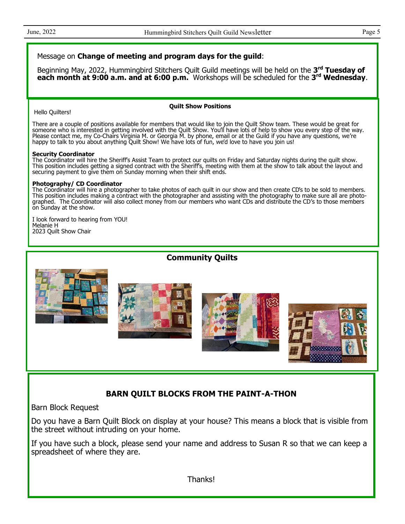## Message on **Change of meeting and program days for the guild**:

Beginning May, 2022, Hummingbird Stitchers Quilt Guild meetings will be held on the 3<sup>rd</sup> Tuesday of **each month at 9:00 a.m. and at 6:00 p.m.** Workshops will be scheduled for the **3 rd Wednesday**.

Hello Quilters!

#### **Quilt Show Positions**

There are a couple of positions available for members that would like to join the Quilt Show team. These would be great for someone who is interested in getting involved with the Quilt Show. You'll have lots of help to show you every step of the way. Please contact me, my Co-Chairs Virginia M. or Georgia M. by phone, email or at the Guild if you have any questions, we're happy to talk to you about anything Quilt Show! We have lots of fun, we'd love to have you join us!

#### **Security Coordinator**

The Coordinator will hire the Sheriff's Assist Team to protect our quilts on Friday and Saturday nights during the quilt show. This position includes getting a signed contract with the Sheriff's, meeting with them at the show to talk about the layout and securing payment to give them on Sunday morning when their shift ends.

#### **Photography/ CD Coordinator**

The Coordinator will hire a photographer to take photos of each quilt in our show and then create CD's to be sold to members. This position includes making a contract with the photographer and assisting with the photography to make sure all are photographed. The Coordinator will also collect money from our members who want CDs and distribute the CD's to those members on Sunday at the show.

I look forward to hearing from YOU! Melanie H 2023 Quilt Show Chair

# **Community Quilts**









# **BARN QUILT BLOCKS FROM THE PAINT-A-THON**

Barn Block Request

Do you have a Barn Quilt Block on display at your house? This means a block that is visible from the street without intruding on your home.

If you have such a block, please send your name and address to Susan R so that we can keep a spreadsheet of where they are.

Thanks!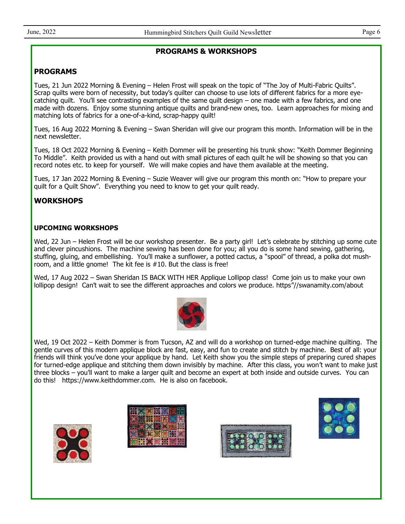## **PROGRAMS & WORKSHOPS**

# **PROGRAMS**

Tues, 21 Jun 2022 Morning & Evening – Helen Frost will speak on the topic of "The Joy of Multi-Fabric Quilts". Scrap quilts were born of necessity, but today's quilter can choose to use lots of different fabrics for a more eyecatching quilt. You'll see contrasting examples of the same quilt design – one made with a few fabrics, and one made with dozens. Enjoy some stunning antique quilts and brand-new ones, too. Learn approaches for mixing and matching lots of fabrics for a one-of-a-kind, scrap-happy quilt!

Tues, 16 Aug 2022 Morning & Evening – Swan Sheridan will give our program this month. Information will be in the next newsletter.

Tues, 18 Oct 2022 Morning & Evening – Keith Dommer will be presenting his trunk show: "Keith Dommer Beginning To Middle". Keith provided us with a hand out with small pictures of each quilt he will be showing so that you can record notes etc. to keep for yourself. We will make copies and have them available at the meeting.

Tues, 17 Jan 2022 Morning & Evening – Suzie Weaver will give our program this month on: "How to prepare your quilt for a Quilt Show". Everything you need to know to get your quilt ready.

# **WORKSHOPS**

## **UPCOMING WORKSHOPS**

Wed, 22 Jun – Helen Frost will be our workshop presenter. Be a party girl! Let's celebrate by stitching up some cute and clever pincushions. The machine sewing has been done for you; all you do is some hand sewing, gathering, stuffing, gluing, and embellishing. You'll make a sunflower, a potted cactus, a "spool" of thread, a polka dot mushroom, and a little gnome! The kit fee is #10. But the class is free!

Wed, 17 Aug 2022 – Swan Sheridan IS BACK WITH HER Applique Lollipop class! Come join us to make your own lollipop design! Can't wait to see the different approaches and colors we produce. https"//swanamity.com/about



Wed, 19 Oct 2022 – Keith Dommer is from Tucson, AZ and will do a workshop on turned-edge machine quilting. The gentle curves of this modern applique block are fast, easy, and fun to create and stitch by machine. Best of all: your friends will think you've done your applique by hand. Let Keith show you the simple steps of preparing cured shapes for turned-edge applique and stitching them down invisibly by machine. After this class, you won't want to make just three blocks – you'll want to make a larger quilt and become an expert at both inside and outside curves. You can do this! https://www.keithdommer.com. He is also on facebook.